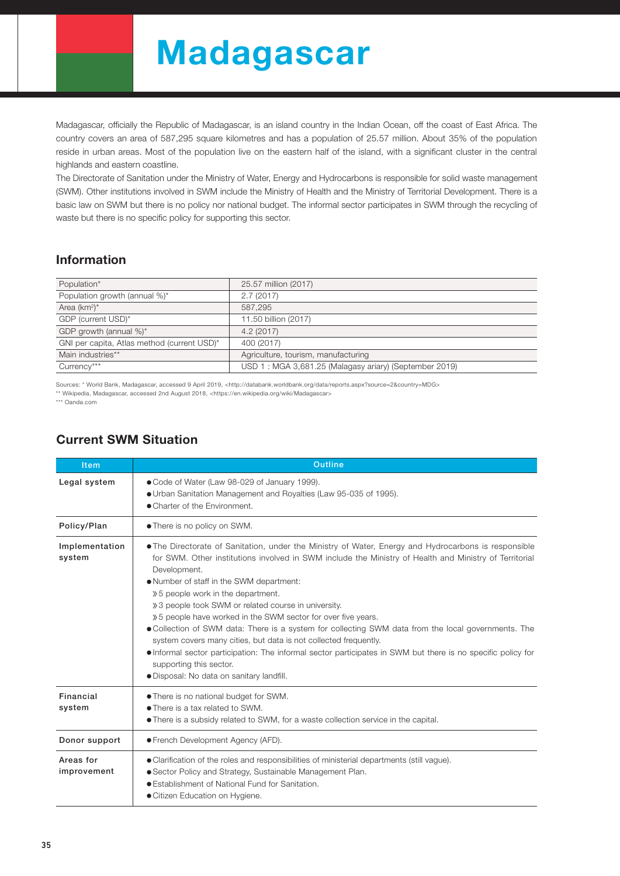# Madagascar

Madagascar, officially the Republic of Madagascar, is an island country in the Indian Ocean, off the coast of East Africa. The country covers an area of 587,295 square kilometres and has a population of 25.57 million. About 35% of the population reside in urban areas. Most of the population live on the eastern half of the island, with a significant cluster in the central highlands and eastern coastline.

The Directorate of Sanitation under the Ministry of Water, Energy and Hydrocarbons is responsible for solid waste management (SWM). Other institutions involved in SWM include the Ministry of Health and the Ministry of Territorial Development. There is a basic law on SWM but there is no policy nor national budget. The informal sector participates in SWM through the recycling of waste but there is no specific policy for supporting this sector.

## Information

| Population*                                 | 25.57 million (2017)                                   |
|---------------------------------------------|--------------------------------------------------------|
| Population growth (annual %)*               | 2.7(2017)                                              |
| Area $(km^2)^*$                             | 587.295                                                |
| GDP (current USD)*                          | 11.50 billion (2017)                                   |
| GDP growth (annual %)*                      | 4.2(2017)                                              |
| GNI per capita, Atlas method (current USD)* | 400 (2017)                                             |
| Main industries**                           | Agriculture, tourism, manufacturing                    |
| Currency***                                 | USD 1: MGA 3,681.25 (Malagasy ariary) (September 2019) |

Sources: \* World Bank, Madagascar, accessed 9 April 2019, <http://databank.worldbank.org/data/reports.aspx?source=2&country=MDG>

\*\* Wikipedia, Madagascar, accessed 2nd August 2018, <https://en.wikipedia.org/wiki/Madagascar>

\*\*\* Oanda.com

## Current SWM Situation

| <b>Item</b>              | <b>Outline</b>                                                                                                                                                                                                                                                                                                                                                                                                                                                                                                                                                                                                                                                                                                                                                                                               |  |  |  |  |
|--------------------------|--------------------------------------------------------------------------------------------------------------------------------------------------------------------------------------------------------------------------------------------------------------------------------------------------------------------------------------------------------------------------------------------------------------------------------------------------------------------------------------------------------------------------------------------------------------------------------------------------------------------------------------------------------------------------------------------------------------------------------------------------------------------------------------------------------------|--|--|--|--|
| Legal system             | • Code of Water (Law 98-029 of January 1999).<br>• Urban Sanitation Management and Royalties (Law 95-035 of 1995).<br>• Charter of the Environment.                                                                                                                                                                                                                                                                                                                                                                                                                                                                                                                                                                                                                                                          |  |  |  |  |
| Policy/Plan              | • There is no policy on SWM.                                                                                                                                                                                                                                                                                                                                                                                                                                                                                                                                                                                                                                                                                                                                                                                 |  |  |  |  |
| Implementation<br>system | • The Directorate of Sanitation, under the Ministry of Water, Energy and Hydrocarbons is responsible<br>for SWM. Other institutions involved in SWM include the Ministry of Health and Ministry of Territorial<br>Development.<br>. Number of staff in the SWM department:<br>» 5 people work in the department.<br>» 3 people took SWM or related course in university.<br>» 5 people have worked in the SWM sector for over five years.<br>• Collection of SWM data: There is a system for collecting SWM data from the local governments. The<br>system covers many cities, but data is not collected frequently.<br>• Informal sector participation: The informal sector participates in SWM but there is no specific policy for<br>supporting this sector.<br>· Disposal: No data on sanitary landfill. |  |  |  |  |
| Financial<br>system      | • There is no national budget for SWM.<br>• There is a tax related to SWM.<br>• There is a subsidy related to SWM, for a waste collection service in the capital.                                                                                                                                                                                                                                                                                                                                                                                                                                                                                                                                                                                                                                            |  |  |  |  |
| Donor support            | ● French Development Agency (AFD).                                                                                                                                                                                                                                                                                                                                                                                                                                                                                                                                                                                                                                                                                                                                                                           |  |  |  |  |
| Areas for<br>improvement | • Clarification of the roles and responsibilities of ministerial departments (still vague).<br>• Sector Policy and Strategy, Sustainable Management Plan.<br>• Establishment of National Fund for Sanitation.<br>• Citizen Education on Hygiene.                                                                                                                                                                                                                                                                                                                                                                                                                                                                                                                                                             |  |  |  |  |